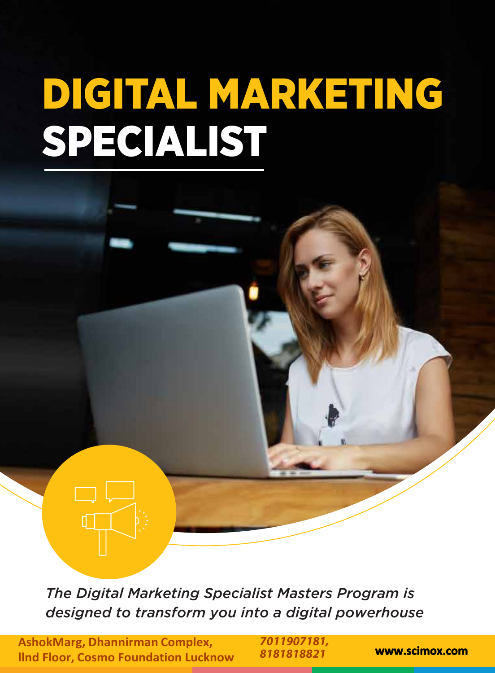# DIGITAL MARKETING SPECIALIST

*The Digital Marketing Specialist Masters Program is designed to transform you into a digital powerhouse* 

**AshokMarg, Dhannirman Complex, llnd Floor, Cosmo Foundation Lucknow** 8181818821 **WWW.scimox.com** 

*7011907181, 8181818821*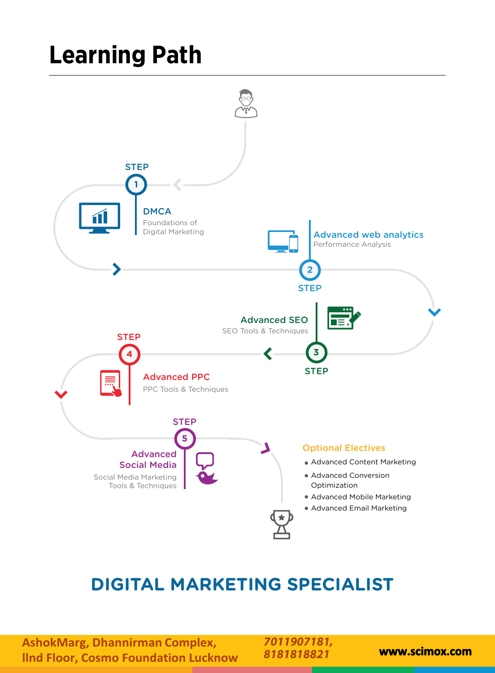## **Learning Path**



### **DIGITAL MARKETING SPECIALIST**

**AshokMarg, Dhannirman Complex, llnd Floor, Cosmo Foundation Lucknow www.scimox.com**

*7011907181, 8181818821*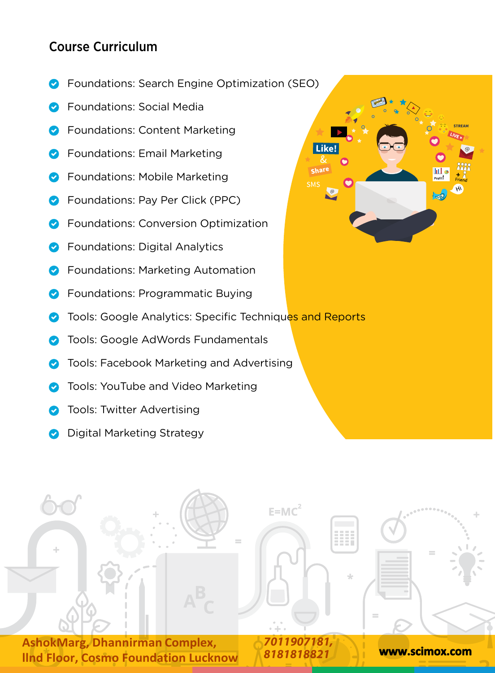#### Course Curriculum

- Foundations: Search Engine Optimization (SEO)
- Foundations: Social Media
- Foundations: Content Marketing
- Foundations: Email Marketing
- Foundations: Mobile Marketing
- Foundations: Pay Per Click (PPC)
- Foundations: Conversion Optimization
- Foundations: Digital Analytics
- Foundations: Marketing Automation
- Foundations: Programmatic Buying
- Tools: Google Analytics: Specific Techniques and Reports
- Tools: Google AdWords Fundamentals
- Tools: Facebook Marketing and Advertising
- Tools: YouTube and Video Marketing
- Tools: Twitter Advertising
- Digital Marketing Strategy